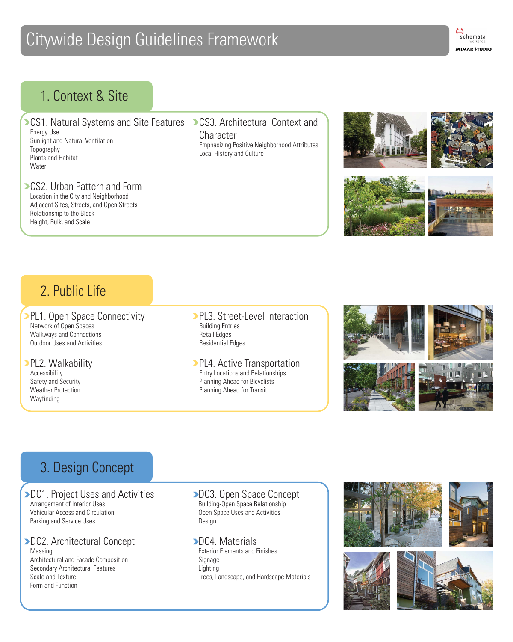# Citywide Design Guidelines Framework



CS1. Natural Systems and Site Features > CS3. Architectural Context and Energy Use

Sunlight and Natural Ventilation Topography Plants and Habitat **Water** 

#### **CS2. Urban Pattern and Form**

Accessibility Safety and Security Weather Protection **Wayfinding** 

Location in the City and Neighborhood Adjacent Sites, Streets, and Open Streets Relationship to the Block Height, Bulk, and Scale

Network of Open Spaces Walkways and Connections Outdoor Uses and Activities

**>DC2. Architectural Concept** Massing Architectural and Facade Composition Secondary Architectural Features Scale and Texture Form and Function

#### PL2. Walkability

**Character** Emphasizing Positive Neighborhood Attributes Local History and Culture





#### **PL3. Street-Level Interaction** Building Entries Retail Edges Residential Edges

**PL4. Active Transportation** Entry Locations and Relationships Planning Ahead for Bicyclists Planning Ahead for Transit



Arrangement of Interior Uses Vehicular Access and Circulation Parking and Service Uses

**>DC3. Open Space Concept** Building-Open Space Relationship Open Space Uses and Activities Design





Exterior Elements and Finishes

Signage Lighting Trees, Landscape, and Hardscape Materials



### 1. Context & Site

## 2. Public Life

**PL1. Open Space Connectivity** 

## 3. Design Concept

#### **>DC1. Project Uses and Activities**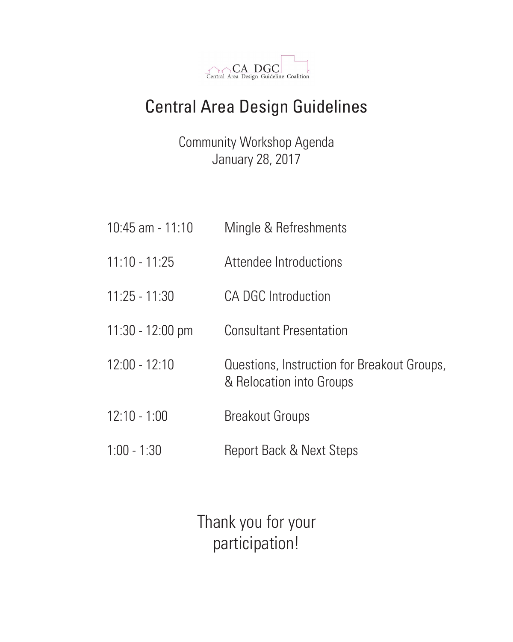

# Central Area Design Guidelines

Community Workshop Agenda January 28, 2017

10:45 am - 11:10 Mingle & Refreshments

11:10 - 11:25 Attendee Introductions

| $11:25 - 11:30$            | <b>CA DGC Introduction</b>                                              |
|----------------------------|-------------------------------------------------------------------------|
| $11:30 - 12:00 \text{ pm}$ | <b>Consultant Presentation</b>                                          |
| $12:00 - 12:10$            | Questions, Instruction for Breakout Groups,<br>& Relocation into Groups |
| $12:10 - 1:00$             | <b>Breakout Groups</b>                                                  |
| $1:00 - 1:30$              | <b>Report Back &amp; Next Steps</b>                                     |

Thank you for your